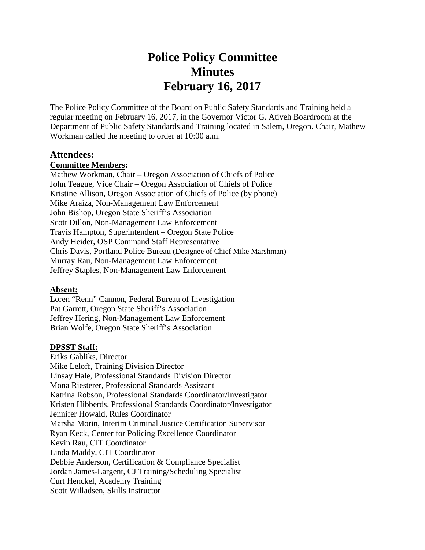# **Police Policy Committee Minutes February 16, 2017**

The Police Policy Committee of the Board on Public Safety Standards and Training held a regular meeting on February 16, 2017, in the Governor Victor G. Atiyeh Boardroom at the Department of Public Safety Standards and Training located in Salem, Oregon. Chair, Mathew Workman called the meeting to order at 10:00 a.m.

#### **Attendees:**

#### **Committee Members:**

Mathew Workman, Chair – Oregon Association of Chiefs of Police John Teague, Vice Chair – Oregon Association of Chiefs of Police Kristine Allison, Oregon Association of Chiefs of Police (by phone) Mike Araiza, Non-Management Law Enforcement John Bishop, Oregon State Sheriff's Association Scott Dillon, Non-Management Law Enforcement Travis Hampton, Superintendent – Oregon State Police Andy Heider, OSP Command Staff Representative Chris Davis, Portland Police Bureau (Designee of Chief Mike Marshman) Murray Rau, Non-Management Law Enforcement Jeffrey Staples, Non-Management Law Enforcement

#### **Absent:**

Loren "Renn" Cannon, Federal Bureau of Investigation Pat Garrett, Oregon State Sheriff's Association Jeffrey Hering, Non-Management Law Enforcement Brian Wolfe, Oregon State Sheriff's Association

#### **DPSST Staff:**

Eriks Gabliks, Director Mike Leloff, Training Division Director Linsay Hale, Professional Standards Division Director Mona Riesterer, Professional Standards Assistant Katrina Robson, Professional Standards Coordinator/Investigator Kristen Hibberds, Professional Standards Coordinator/Investigator Jennifer Howald, Rules Coordinator Marsha Morin, Interim Criminal Justice Certification Supervisor Ryan Keck, Center for Policing Excellence Coordinator Kevin Rau, CIT Coordinator Linda Maddy, CIT Coordinator Debbie Anderson, Certification & Compliance Specialist Jordan James-Largent, CJ Training/Scheduling Specialist Curt Henckel, Academy Training Scott Willadsen, Skills Instructor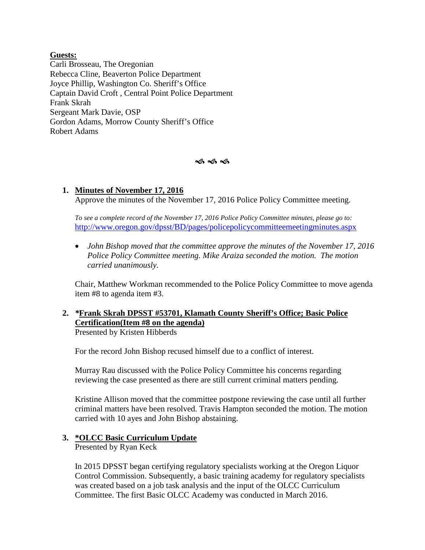**Guests:** Carli Brosseau, The Oregonian Rebecca Cline, Beaverton Police Department Joyce Phillip, Washington Co. Sheriff's Office Captain David Croft , Central Point Police Department Frank Skrah Sergeant Mark Davie, OSP Gordon Adams, Morrow County Sheriff's Office Robert Adams

ৰ্ক ৰ্ক ৰ্ক

#### **1. Minutes of November 17, 2016** Approve the minutes of the November 17, 2016 Police Policy Committee meeting.

*To see a complete record of the November 17, 2016 Police Policy Committee minutes, please go to:* <http://www.oregon.gov/dpsst/BD/pages/policepolicycommitteemeetingminutes.aspx>

• *John Bishop moved that the committee approve the minutes of the November 17, 2016 Police Policy Committee meeting. Mike Araiza seconded the motion. The motion carried unanimously.*

Chair, Matthew Workman recommended to the Police Policy Committee to move agenda item #8 to agenda item #3.

# **2.** *\****Frank Skrah DPSST #53701, Klamath County Sheriff's Office; Basic Police Certification(Item #8 on the agenda)**

Presented by Kristen Hibberds

For the record John Bishop recused himself due to a conflict of interest.

Murray Rau discussed with the Police Policy Committee his concerns regarding reviewing the case presented as there are still current criminal matters pending.

Kristine Allison moved that the committee postpone reviewing the case until all further criminal matters have been resolved. Travis Hampton seconded the motion. The motion carried with 10 ayes and John Bishop abstaining.

#### **3. \*OLCC Basic Curriculum Update**

Presented by Ryan Keck

In 2015 DPSST began certifying regulatory specialists working at the Oregon Liquor Control Commission. Subsequently, a basic training academy for regulatory specialists was created based on a job task analysis and the input of the OLCC Curriculum Committee. The first Basic OLCC Academy was conducted in March 2016.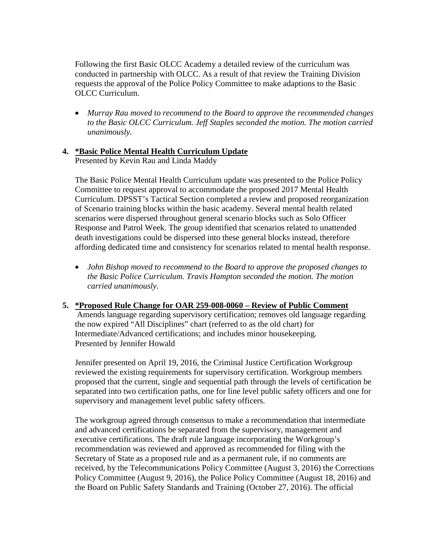Following the first Basic OLCC Academy a detailed review of the curriculum was conducted in partnership with OLCC. As a result of that review the Training Division requests the approval of the Police Policy Committee to make adaptions to the Basic OLCC Curriculum.

• *Murray Rau moved to recommend to the Board to approve the recommended changes to the Basic OLCC Curriculum. Jeff Staples seconded the motion. The motion carried unanimously.* 

### **4. \*Basic Police Mental Health Curriculum Update**

Presented by Kevin Rau and Linda Maddy

The Basic Police Mental Health Curriculum update was presented to the Police Policy Committee to request approval to accommodate the proposed 2017 Mental Health Curriculum. DPSST's Tactical Section completed a review and proposed reorganization of Scenario training blocks within the basic academy. Several mental health related scenarios were dispersed throughout general scenario blocks such as Solo Officer Response and Patrol Week. The group identified that scenarios related to unattended death investigations could be dispersed into these general blocks instead, therefore affording dedicated time and consistency for scenarios related to mental health response.

• *John Bishop moved to recommend to the Board to approve the proposed changes to the Basic Police Curriculum. Travis Hampton seconded the motion. The motion carried unanimously*.

#### **5. \*Proposed Rule Change for OAR 259-008-0060 – Review of Public Comment**  Amends language regarding supervisory certification; removes old language regarding the now expired "All Disciplines" chart (referred to as the old chart) for Intermediate/Advanced certifications; and includes minor housekeeping.

Presented by Jennifer Howald

Jennifer presented on April 19, 2016, the Criminal Justice Certification Workgroup reviewed the existing requirements for supervisory certification. Workgroup members proposed that the current, single and sequential path through the levels of certification be separated into two certification paths, one for line level public safety officers and one for supervisory and management level public safety officers.

The workgroup agreed through consensus to make a recommendation that intermediate and advanced certifications be separated from the supervisory, management and executive certifications. The draft rule language incorporating the Workgroup's recommendation was reviewed and approved as recommended for filing with the Secretary of State as a proposed rule and as a permanent rule, if no comments are received, by the Telecommunications Policy Committee (August 3, 2016) the Corrections Policy Committee (August 9, 2016), the Police Policy Committee (August 18, 2016) and the Board on Public Safety Standards and Training (October 27, 2016). The official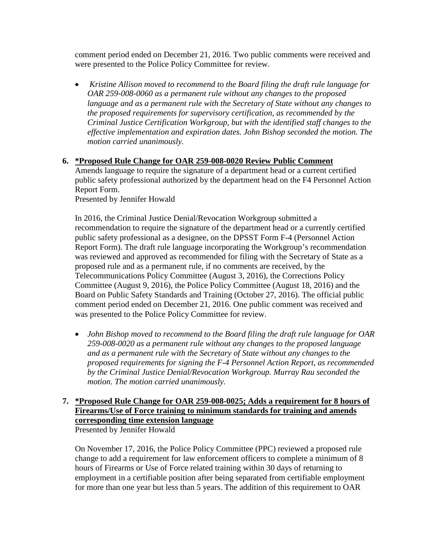comment period ended on December 21, 2016. Two public comments were received and were presented to the Police Policy Committee for review.

• *Kristine Allison moved to recommend to the Board filing the draft rule language for OAR 259-008-0060 as a permanent rule without any changes to the proposed language and as a permanent rule with the Secretary of State without any changes to the proposed requirements for supervisory certification, as recommended by the Criminal Justice Certification Workgroup, but with the identified staff changes to the effective implementation and expiration dates. John Bishop seconded the motion. The motion carried unanimously.* 

#### **6. \*Proposed Rule Change for OAR 259-008-0020 Review Public Comment**

Amends language to require the signature of a department head or a current certified public safety professional authorized by the department head on the F4 Personnel Action Report Form.

Presented by Jennifer Howald

In 2016, the Criminal Justice Denial/Revocation Workgroup submitted a recommendation to require the signature of the department head or a currently certified public safety professional as a designee, on the DPSST Form F-4 (Personnel Action Report Form). The draft rule language incorporating the Workgroup's recommendation was reviewed and approved as recommended for filing with the Secretary of State as a proposed rule and as a permanent rule, if no comments are received, by the Telecommunications Policy Committee (August 3, 2016), the Corrections Policy Committee (August 9, 2016), the Police Policy Committee (August 18, 2016) and the Board on Public Safety Standards and Training (October 27, 2016). The official public comment period ended on December 21, 2016. One public comment was received and was presented to the Police Policy Committee for review.

• *John Bishop moved to recommend to the Board filing the draft rule language for OAR 259-008-0020 as a permanent rule without any changes to the proposed language and as a permanent rule with the Secretary of State without any changes to the proposed requirements for signing the F-4 Personnel Action Report, as recommended by the Criminal Justice Denial/Revocation Workgroup. Murray Rau seconded the motion. The motion carried unanimously.* 

# **7. \*Proposed Rule Change for OAR 259-008-0025; Adds a requirement for 8 hours of Firearms/Use of Force training to minimum standards for training and amends corresponding time extension language**

Presented by Jennifer Howald

On November 17, 2016, the Police Policy Committee (PPC) reviewed a proposed rule change to add a requirement for law enforcement officers to complete a minimum of 8 hours of Firearms or Use of Force related training within 30 days of returning to employment in a certifiable position after being separated from certifiable employment for more than one year but less than 5 years. The addition of this requirement to OAR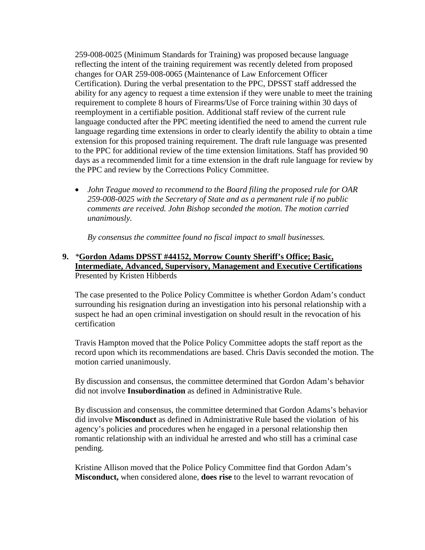259-008-0025 (Minimum Standards for Training) was proposed because language reflecting the intent of the training requirement was recently deleted from proposed changes for OAR 259-008-0065 (Maintenance of Law Enforcement Officer Certification). During the verbal presentation to the PPC, DPSST staff addressed the ability for any agency to request a time extension if they were unable to meet the training requirement to complete 8 hours of Firearms/Use of Force training within 30 days of reemployment in a certifiable position. Additional staff review of the current rule language conducted after the PPC meeting identified the need to amend the current rule language regarding time extensions in order to clearly identify the ability to obtain a time extension for this proposed training requirement. The draft rule language was presented to the PPC for additional review of the time extension limitations. Staff has provided 90 days as a recommended limit for a time extension in the draft rule language for review by the PPC and review by the Corrections Policy Committee.

• *John Teague moved to recommend to the Board filing the proposed rule for OAR 259-008-0025 with the Secretary of State and as a permanent rule if no public comments are received. John Bishop seconded the motion. The motion carried unanimously.* 

*By consensus the committee found no fiscal impact to small businesses.* 

#### **9.** *\****Gordon Adams DPSST #44152, Morrow County Sheriff's Office; Basic, Intermediate, Advanced, Supervisory, Management and Executive Certifications** Presented by Kristen Hibberds

The case presented to the Police Policy Committee is whether Gordon Adam's conduct surrounding his resignation during an investigation into his personal relationship with a suspect he had an open criminal investigation on should result in the revocation of his certification

Travis Hampton moved that the Police Policy Committee adopts the staff report as the record upon which its recommendations are based. Chris Davis seconded the motion. The motion carried unanimously.

By discussion and consensus, the committee determined that Gordon Adam's behavior did not involve **Insubordination** as defined in Administrative Rule.

By discussion and consensus, the committee determined that Gordon Adams's behavior did involve **Misconduct** as defined in Administrative Rule based the violation of his agency's policies and procedures when he engaged in a personal relationship then romantic relationship with an individual he arrested and who still has a criminal case pending.

Kristine Allison moved that the Police Policy Committee find that Gordon Adam's **Misconduct,** when considered alone, **does rise** to the level to warrant revocation of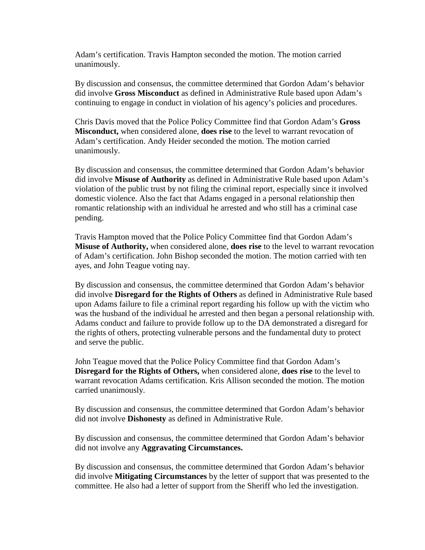Adam's certification. Travis Hampton seconded the motion. The motion carried unanimously.

By discussion and consensus, the committee determined that Gordon Adam's behavior did involve **Gross Misconduct** as defined in Administrative Rule based upon Adam's continuing to engage in conduct in violation of his agency's policies and procedures.

Chris Davis moved that the Police Policy Committee find that Gordon Adam's **Gross Misconduct,** when considered alone, **does rise** to the level to warrant revocation of Adam's certification. Andy Heider seconded the motion. The motion carried unanimously.

By discussion and consensus, the committee determined that Gordon Adam's behavior did involve **Misuse of Authority** as defined in Administrative Rule based upon Adam's violation of the public trust by not filing the criminal report, especially since it involved domestic violence. Also the fact that Adams engaged in a personal relationship then romantic relationship with an individual he arrested and who still has a criminal case pending.

Travis Hampton moved that the Police Policy Committee find that Gordon Adam's **Misuse of Authority,** when considered alone, **does rise** to the level to warrant revocation of Adam's certification. John Bishop seconded the motion. The motion carried with ten ayes, and John Teague voting nay.

By discussion and consensus, the committee determined that Gordon Adam's behavior did involve **Disregard for the Rights of Others** as defined in Administrative Rule based upon Adams failure to file a criminal report regarding his follow up with the victim who was the husband of the individual he arrested and then began a personal relationship with. Adams conduct and failure to provide follow up to the DA demonstrated a disregard for the rights of others, protecting vulnerable persons and the fundamental duty to protect and serve the public.

John Teague moved that the Police Policy Committee find that Gordon Adam's **Disregard for the Rights of Others,** when considered alone, **does rise** to the level to warrant revocation Adams certification. Kris Allison seconded the motion. The motion carried unanimously.

By discussion and consensus, the committee determined that Gordon Adam's behavior did not involve **Dishonesty** as defined in Administrative Rule.

By discussion and consensus, the committee determined that Gordon Adam's behavior did not involve any **Aggravating Circumstances.**

By discussion and consensus, the committee determined that Gordon Adam's behavior did involve **Mitigating Circumstances** by the letter of support that was presented to the committee. He also had a letter of support from the Sheriff who led the investigation.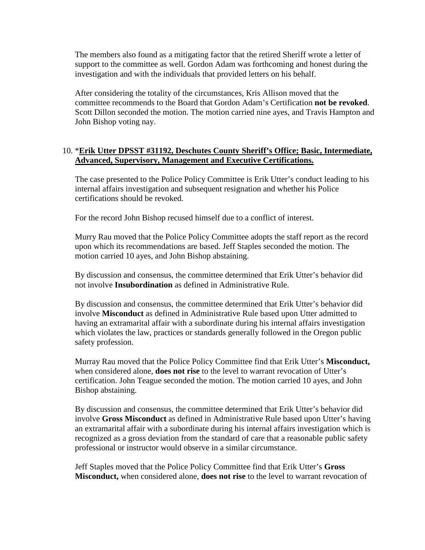The members also found as a mitigating factor that the retired Sheriff wrote a letter of support to the committee as well. Gordon Adam was forthcoming and honest during the investigation and with the individuals that provided letters on his behalf.

After considering the totality of the circumstances, Kris Allison moved that the committee recommends to the Board that Gordon Adam's Certification **not be revoked**. Scott Dillon seconded the motion. The motion carried nine ayes, and Travis Hampton and John Bishop voting nay.

#### 10. \***Erik Utter DPSST #31192, Deschutes County Sheriff's Office; Basic, Intermediate, Advanced, Supervisory, Management and Executive Certifications.**

The case presented to the Police Policy Committee is Erik Utter's conduct leading to his internal affairs investigation and subsequent resignation and whether his Police certifications should be revoked.

For the record John Bishop recused himself due to a conflict of interest.

Murry Rau moved that the Police Policy Committee adopts the staff report as the record upon which its recommendations are based. Jeff Staples seconded the motion. The motion carried 10 ayes, and John Bishop abstaining.

By discussion and consensus, the committee determined that Erik Utter's behavior did not involve **Insubordination** as defined in Administrative Rule.

By discussion and consensus, the committee determined that Erik Utter's behavior did involve **Misconduct** as defined in Administrative Rule based upon Utter admitted to having an extramarital affair with a subordinate during his internal affairs investigation which violates the law, practices or standards generally followed in the Oregon public safety profession.

Murray Rau moved that the Police Policy Committee find that Erik Utter's **Misconduct,** when considered alone, **does not rise** to the level to warrant revocation of Utter's certification. John Teague seconded the motion. The motion carried 10 ayes, and John Bishop abstaining.

By discussion and consensus, the committee determined that Erik Utter's behavior did involve **Gross Misconduct** as defined in Administrative Rule based upon Utter's having an extramarital affair with a subordinate during his internal affairs investigation which is recognized as a gross deviation from the standard of care that a reasonable public safety professional or instructor would observe in a similar circumstance.

Jeff Staples moved that the Police Policy Committee find that Erik Utter's **Gross Misconduct,** when considered alone, **does not rise** to the level to warrant revocation of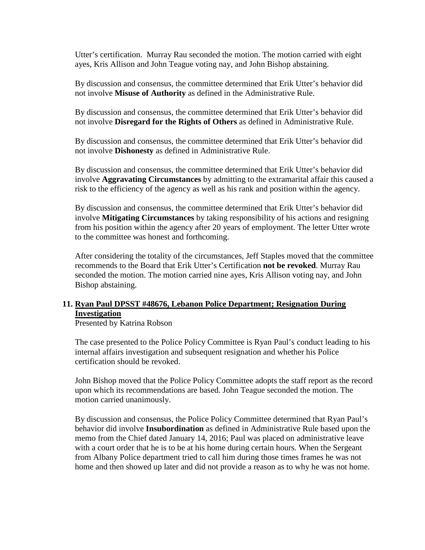Utter's certification. Murray Rau seconded the motion. The motion carried with eight ayes, Kris Allison and John Teague voting nay, and John Bishop abstaining.

By discussion and consensus, the committee determined that Erik Utter's behavior did not involve **Misuse of Authority** as defined in the Administrative Rule.

By discussion and consensus, the committee determined that Erik Utter's behavior did not involve **Disregard for the Rights of Others** as defined in Administrative Rule.

By discussion and consensus, the committee determined that Erik Utter's behavior did not involve **Dishonesty** as defined in Administrative Rule.

By discussion and consensus, the committee determined that Erik Utter's behavior did involve **Aggravating Circumstances** by admitting to the extramarital affair this caused a risk to the efficiency of the agency as well as his rank and position within the agency.

By discussion and consensus, the committee determined that Erik Utter's behavior did involve **Mitigating Circumstances** by taking responsibility of his actions and resigning from his position within the agency after 20 years of employment. The letter Utter wrote to the committee was honest and forthcoming.

After considering the totality of the circumstances, Jeff Staples moved that the committee recommends to the Board that Erik Utter's Certification **not be revoked**. Murray Rau seconded the motion. The motion carried nine ayes, Kris Allison voting nay, and John Bishop abstaining.

#### **11. Ryan Paul DPSST #48676, Lebanon Police Department; Resignation During Investigation**

Presented by Katrina Robson

The case presented to the Police Policy Committee is Ryan Paul's conduct leading to his internal affairs investigation and subsequent resignation and whether his Police certification should be revoked.

John Bishop moved that the Police Policy Committee adopts the staff report as the record upon which its recommendations are based. John Teague seconded the motion. The motion carried unanimously.

By discussion and consensus, the Police Policy Committee determined that Ryan Paul's behavior did involve **Insubordination** as defined in Administrative Rule based upon the memo from the Chief dated January 14, 2016; Paul was placed on administrative leave with a court order that he is to be at his home during certain hours. When the Sergeant from Albany Police department tried to call him during those times frames he was not home and then showed up later and did not provide a reason as to why he was not home.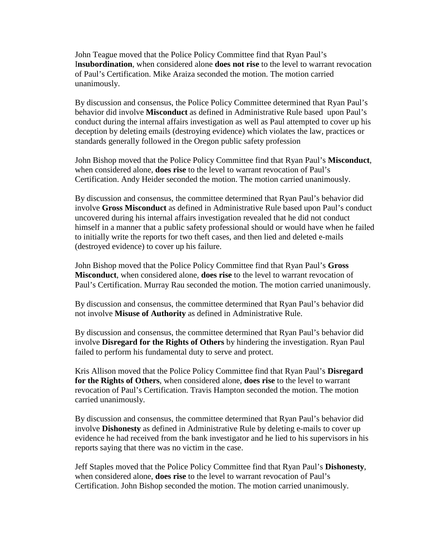John Teague moved that the Police Policy Committee find that Ryan Paul's I**nsubordination**, when considered alone **does not rise** to the level to warrant revocation of Paul's Certification. Mike Araiza seconded the motion. The motion carried unanimously.

By discussion and consensus, the Police Policy Committee determined that Ryan Paul's behavior did involve **Misconduct** as defined in Administrative Rule based upon Paul's conduct during the internal affairs investigation as well as Paul attempted to cover up his deception by deleting emails (destroying evidence) which violates the law, practices or standards generally followed in the Oregon public safety profession

John Bishop moved that the Police Policy Committee find that Ryan Paul's **Misconduct**, when considered alone, **does rise** to the level to warrant revocation of Paul's Certification. Andy Heider seconded the motion. The motion carried unanimously.

By discussion and consensus, the committee determined that Ryan Paul's behavior did involve **Gross Misconduct** as defined in Administrative Rule based upon Paul's conduct uncovered during his internal affairs investigation revealed that he did not conduct himself in a manner that a public safety professional should or would have when he failed to initially write the reports for two theft cases, and then lied and deleted e-mails (destroyed evidence) to cover up his failure.

John Bishop moved that the Police Policy Committee find that Ryan Paul's **Gross Misconduct**, when considered alone, **does rise** to the level to warrant revocation of Paul's Certification. Murray Rau seconded the motion. The motion carried unanimously.

By discussion and consensus, the committee determined that Ryan Paul's behavior did not involve **Misuse of Authority** as defined in Administrative Rule.

By discussion and consensus, the committee determined that Ryan Paul's behavior did involve **Disregard for the Rights of Others** by hindering the investigation. Ryan Paul failed to perform his fundamental duty to serve and protect.

Kris Allison moved that the Police Policy Committee find that Ryan Paul's **Disregard for the Rights of Others**, when considered alone, **does rise** to the level to warrant revocation of Paul's Certification. Travis Hampton seconded the motion. The motion carried unanimously.

By discussion and consensus, the committee determined that Ryan Paul's behavior did involve **Dishonesty** as defined in Administrative Rule by deleting e-mails to cover up evidence he had received from the bank investigator and he lied to his supervisors in his reports saying that there was no victim in the case.

Jeff Staples moved that the Police Policy Committee find that Ryan Paul's **Dishonesty**, when considered alone, **does rise** to the level to warrant revocation of Paul's Certification. John Bishop seconded the motion. The motion carried unanimously.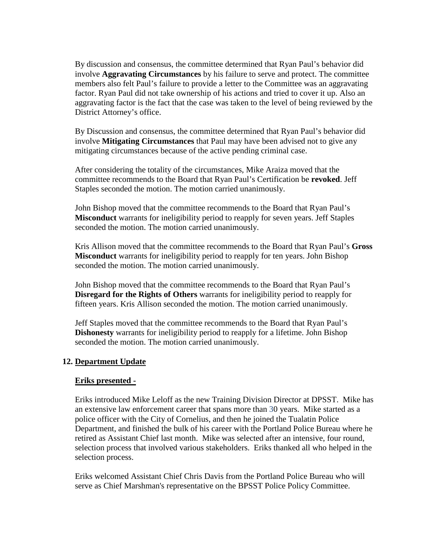By discussion and consensus, the committee determined that Ryan Paul's behavior did involve **Aggravating Circumstances** by his failure to serve and protect. The committee members also felt Paul's failure to provide a letter to the Committee was an aggravating factor. Ryan Paul did not take ownership of his actions and tried to cover it up. Also an aggravating factor is the fact that the case was taken to the level of being reviewed by the District Attorney's office.

By Discussion and consensus, the committee determined that Ryan Paul's behavior did involve **Mitigating Circumstances** that Paul may have been advised not to give any mitigating circumstances because of the active pending criminal case.

After considering the totality of the circumstances, Mike Araiza moved that the committee recommends to the Board that Ryan Paul's Certification be **revoked**. Jeff Staples seconded the motion. The motion carried unanimously.

John Bishop moved that the committee recommends to the Board that Ryan Paul's **Misconduct** warrants for ineligibility period to reapply for seven years. Jeff Staples seconded the motion. The motion carried unanimously.

Kris Allison moved that the committee recommends to the Board that Ryan Paul's **Gross Misconduct** warrants for ineligibility period to reapply for ten years. John Bishop seconded the motion. The motion carried unanimously.

John Bishop moved that the committee recommends to the Board that Ryan Paul's **Disregard for the Rights of Others** warrants for ineligibility period to reapply for fifteen years. Kris Allison seconded the motion. The motion carried unanimously.

Jeff Staples moved that the committee recommends to the Board that Ryan Paul's **Dishonesty** warrants for ineligibility period to reapply for a lifetime. John Bishop seconded the motion. The motion carried unanimously.

#### **12. Department Update**

#### **Eriks presented -**

Eriks introduced Mike Leloff as the new Training Division Director at DPSST. Mike has an extensive law enforcement career that spans more than 30 years. Mike started as a police officer with the City of Cornelius, and then he joined the Tualatin Police Department, and finished the bulk of his career with the Portland Police Bureau where he retired as Assistant Chief last month. Mike was selected after an intensive, four round, selection process that involved various stakeholders. Eriks thanked all who helped in the selection process.

Eriks welcomed Assistant Chief Chris Davis from the Portland Police Bureau who will serve as Chief Marshman's representative on the BPSST Police Policy Committee.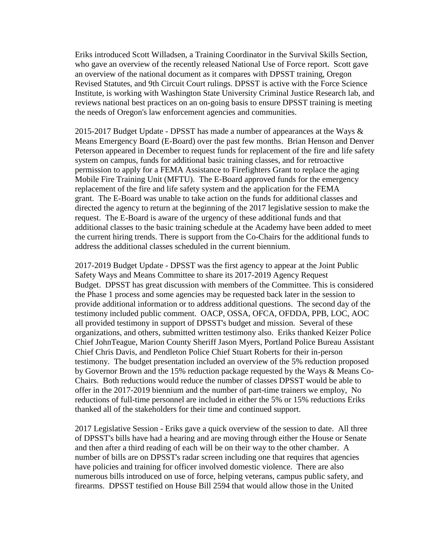Eriks introduced Scott Willadsen, a Training Coordinator in the Survival Skills Section, who gave an overview of the recently released National Use of Force report. Scott gave an overview of the national document as it compares with DPSST training, Oregon Revised Statutes, and 9th Circuit Court rulings. DPSST is active with the Force Science Institute, is working with Washington State University Criminal Justice Research lab, and reviews national best practices on an on-going basis to ensure DPSST training is meeting the needs of Oregon's law enforcement agencies and communities.

2015-2017 Budget Update - DPSST has made a number of appearances at the Ways  $\&$ Means Emergency Board (E-Board) over the past few months. Brian Henson and Denver Peterson appeared in December to request funds for replacement of the fire and life safety system on campus, funds for additional basic training classes, and for retroactive permission to apply for a FEMA Assistance to Firefighters Grant to replace the aging Mobile Fire Training Unit (MFTU). The E-Board approved funds for the emergency replacement of the fire and life safety system and the application for the FEMA grant. The E-Board was unable to take action on the funds for additional classes and directed the agency to return at the beginning of the 2017 legislative session to make the request. The E-Board is aware of the urgency of these additional funds and that additional classes to the basic training schedule at the Academy have been added to meet the current hiring trends. There is support from the Co-Chairs for the additional funds to address the additional classes scheduled in the current biennium.

2017-2019 Budget Update - DPSST was the first agency to appear at the Joint Public Safety Ways and Means Committee to share its 2017-2019 Agency Request Budget. DPSST has great discussion with members of the Committee. This is considered the Phase 1 process and some agencies may be requested back later in the session to provide additional information or to address additional questions. The second day of the testimony included public comment. OACP, OSSA, OFCA, OFDDA, PPB, LOC, AOC all provided testimony in support of DPSST's budget and mission. Several of these organizations, and others, submitted written testimony also. Eriks thanked Keizer Police Chief JohnTeague, Marion County Sheriff Jason Myers, Portland Police Bureau Assistant Chief Chris Davis, and Pendleton Police Chief Stuart Roberts for their in-person testimony. The budget presentation included an overview of the 5% reduction proposed by Governor Brown and the 15% reduction package requested by the Ways & Means Co-Chairs. Both reductions would reduce the number of classes DPSST would be able to offer in the 2017-2019 biennium and the number of part-time trainers we employ, No reductions of full-time personnel are included in either the 5% or 15% reductions Eriks thanked all of the stakeholders for their time and continued support.

2017 Legislative Session - Eriks gave a quick overview of the session to date. All three of DPSST's bills have had a hearing and are moving through either the House or Senate and then after a third reading of each will be on their way to the other chamber. A number of bills are on DPSST's radar screen including one that requires that agencies have policies and training for officer involved domestic violence. There are also numerous bills introduced on use of force, helping veterans, campus public safety, and firearms. DPSST testified on House Bill 2594 that would allow those in the United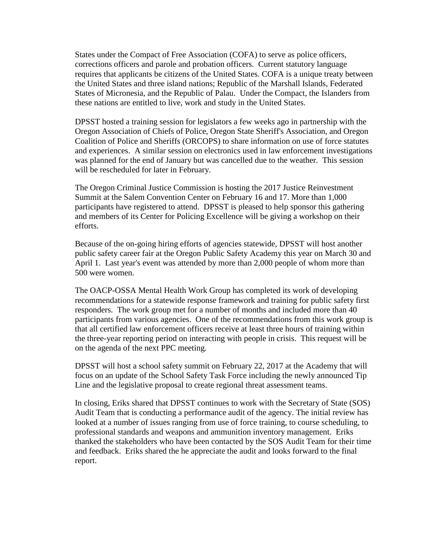States under the Compact of Free Association (COFA) to serve as police officers, corrections officers and parole and probation officers. Current statutory language requires that applicants be citizens of the United States. COFA is a unique treaty between the United States and three island nations; Republic of the Marshall Islands, Federated States of Micronesia, and the Republic of Palau. Under the Compact, the Islanders from these nations are entitled to live, work and study in the United States.

DPSST hosted a training session for legislators a few weeks ago in partnership with the Oregon Association of Chiefs of Police, Oregon State Sheriff's Association, and Oregon Coalition of Police and Sheriffs (ORCOPS) to share information on use of force statutes and experiences. A similar session on electronics used in law enforcement investigations was planned for the end of January but was cancelled due to the weather. This session will be rescheduled for later in February.

The Oregon Criminal Justice Commission is hosting the 2017 Justice Reinvestment Summit at the Salem Convention Center on February 16 and 17. More than 1,000 participants have registered to attend. DPSST is pleased to help sponsor this gathering and members of its Center for Policing Excellence will be giving a workshop on their efforts.

Because of the on-going hiring efforts of agencies statewide, DPSST will host another public safety career fair at the Oregon Public Safety Academy this year on March 30 and April 1. Last year's event was attended by more than 2,000 people of whom more than 500 were women.

The OACP-OSSA Mental Health Work Group has completed its work of developing recommendations for a statewide response framework and training for public safety first responders. The work group met for a number of months and included more than 40 participants from various agencies. One of the recommendations from this work group is that all certified law enforcement officers receive at least three hours of training within the three-year reporting period on interacting with people in crisis. This request will be on the agenda of the next PPC meeting.

DPSST will host a school safety summit on February 22, 2017 at the Academy that will focus on an update of the School Safety Task Force including the newly announced Tip Line and the legislative proposal to create regional threat assessment teams.

In closing, Eriks shared that DPSST continues to work with the Secretary of State (SOS) Audit Team that is conducting a performance audit of the agency. The initial review has looked at a number of issues ranging from use of force training, to course scheduling, to professional standards and weapons and ammunition inventory management. Eriks thanked the stakeholders who have been contacted by the SOS Audit Team for their time and feedback. Eriks shared the he appreciate the audit and looks forward to the final report.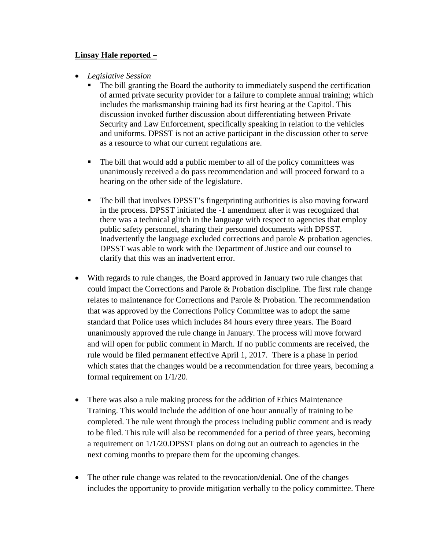#### **Linsay Hale reported –**

- *Legislative Session* 
	- The bill granting the Board the authority to immediately suspend the certification of armed private security provider for a failure to complete annual training; which includes the marksmanship training had its first hearing at the Capitol. This discussion invoked further discussion about differentiating between Private Security and Law Enforcement, specifically speaking in relation to the vehicles and uniforms. DPSST is not an active participant in the discussion other to serve as a resource to what our current regulations are.
	- The bill that would add a public member to all of the policy committees was unanimously received a do pass recommendation and will proceed forward to a hearing on the other side of the legislature.
	- The bill that involves DPSST's fingerprinting authorities is also moving forward in the process. DPSST initiated the -1 amendment after it was recognized that there was a technical glitch in the language with respect to agencies that employ public safety personnel, sharing their personnel documents with DPSST. Inadvertently the language excluded corrections and parole & probation agencies. DPSST was able to work with the Department of Justice and our counsel to clarify that this was an inadvertent error.
- With regards to rule changes, the Board approved in January two rule changes that could impact the Corrections and Parole & Probation discipline. The first rule change relates to maintenance for Corrections and Parole & Probation. The recommendation that was approved by the Corrections Policy Committee was to adopt the same standard that Police uses which includes 84 hours every three years. The Board unanimously approved the rule change in January. The process will move forward and will open for public comment in March. If no public comments are received, the rule would be filed permanent effective April 1, 2017. There is a phase in period which states that the changes would be a recommendation for three years, becoming a formal requirement on 1/1/20.
- There was also a rule making process for the addition of Ethics Maintenance Training. This would include the addition of one hour annually of training to be completed. The rule went through the process including public comment and is ready to be filed. This rule will also be recommended for a period of three years, becoming a requirement on 1/1/20.DPSST plans on doing out an outreach to agencies in the next coming months to prepare them for the upcoming changes.
- The other rule change was related to the revocation/denial. One of the changes includes the opportunity to provide mitigation verbally to the policy committee. There